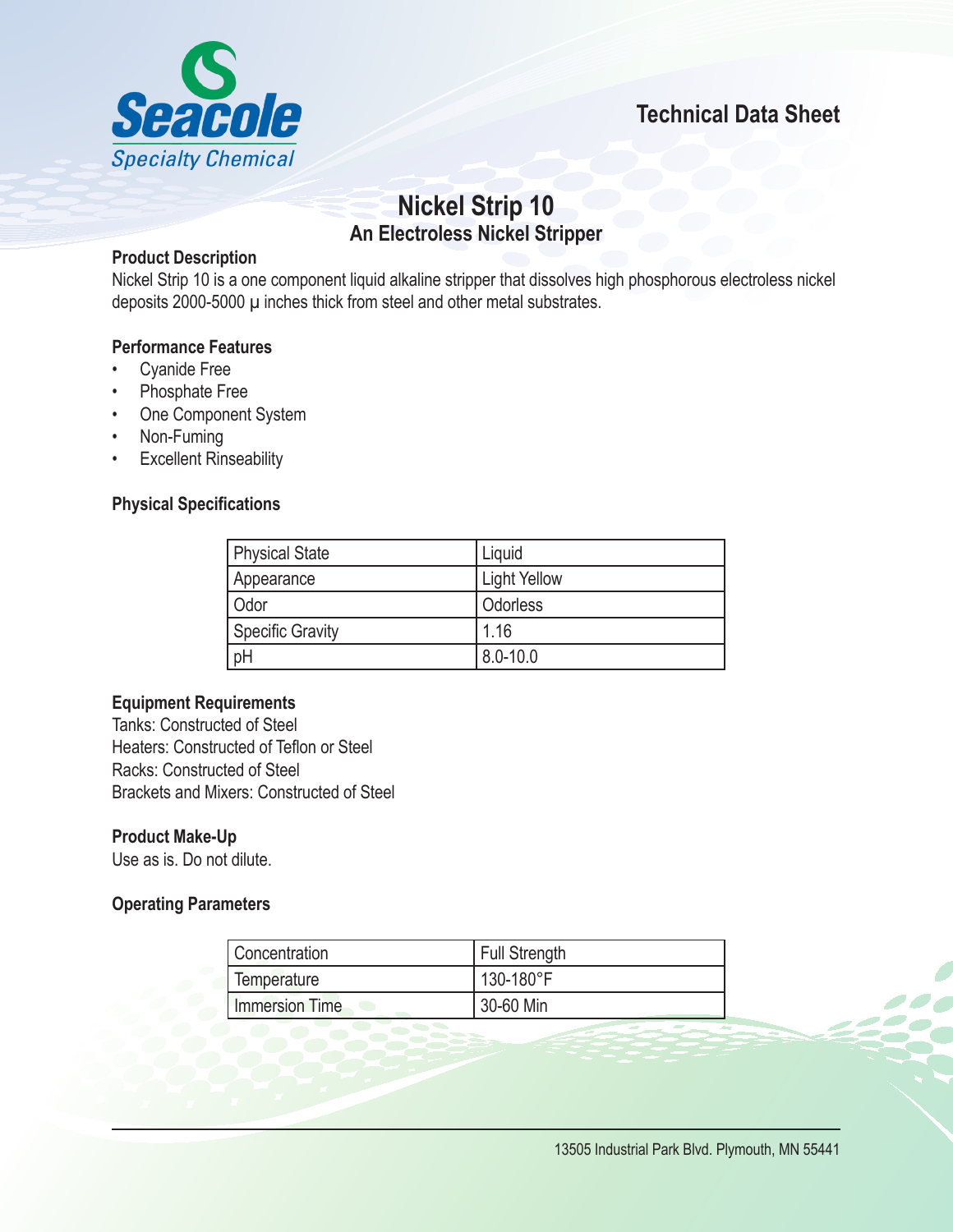



# **Nickel Strip 10 An Electroless Nickel Stripper**

## **Product Description**

Nickel Strip 10 is a one component liquid alkaline stripper that dissolves high phosphorous electroless nickel deposits 2000-5000 µ inches thick from steel and other metal substrates.

## **Performance Features**

- **Cyanide Free**
- Phosphate Free
- • One Component System
- • Non-Fuming
- • Excellent Rinseability

## **Physical Specifications**

| <b>Physical State</b> | Liquid              |
|-----------------------|---------------------|
| Appearance            | <b>Light Yellow</b> |
| Odor                  | Odorless            |
| Specific Gravity      | 1.16                |
| pH                    | $8.0 - 10.0$        |

### **Equipment Requirements**

Tanks: Constructed of Steel Heaters: Constructed of Teflon or Steel Racks: Constructed of Steel Brackets and Mixers: Constructed of Steel

## **Product Make-Up**

Use as is. Do not dilute.

## **Operating Parameters**

| l Concentration | Full Strength |
|-----------------|---------------|
| Temperature     | 130-180°F     |
| Immersion Time  | 30-60 Min     |